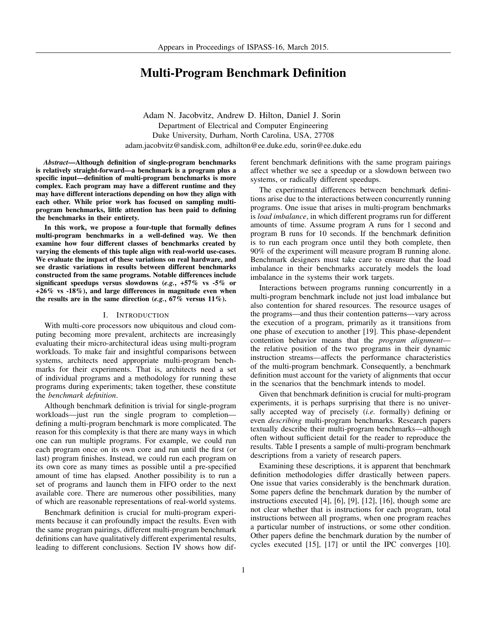# Multi-Program Benchmark Definition

Adam N. Jacobvitz, Andrew D. Hilton, Daniel J. Sorin Department of Electrical and Computer Engineering Duke University, Durham, North Carolina, USA, 27708 adam.jacobvitz@sandisk.com, adhilton@ee.duke.edu, sorin@ee.duke.edu

*Abstract*—Although definition of single-program benchmarks is relatively straight-forward—a benchmark is a program plus a specific input—definition of multi-program benchmarks is more complex. Each program may have a different runtime and they may have different interactions depending on how they align with each other. While prior work has focused on sampling multiprogram benchmarks, little attention has been paid to defining the benchmarks in their entirety.

In this work, we propose a four-tuple that formally defines multi-program benchmarks in a well-defined way. We then examine how four different classes of benchmarks created by varying the elements of this tuple align with real-world use-cases. We evaluate the impact of these variations on real hardware, and see drastic variations in results between different benchmarks constructed from the same programs. Notable differences include significant speedups versus slowdowns (*e.g.*, +57% vs -5% or  $+26\%$  vs  $-18\%$ ), and large differences in magnitude even when the results are in the same direction  $(e.g., 67\%$  versus  $11\%$ ).

# I. INTRODUCTION

With multi-core processors now ubiquitous and cloud computing becoming more prevalent, architects are increasingly evaluating their micro-architectural ideas using multi-program workloads. To make fair and insightful comparisons between systems, architects need appropriate multi-program benchmarks for their experiments. That is, architects need a set of individual programs and a methodology for running these programs during experiments; taken together, these constitute the *benchmark definition*.

Although benchmark definition is trivial for single-program workloads—just run the single program to completion defining a multi-program benchmark is more complicated. The reason for this complexity is that there are many ways in which one can run multiple programs. For example, we could run each program once on its own core and run until the first (or last) program finishes. Instead, we could run each program on its own core as many times as possible until a pre-specified amount of time has elapsed. Another possibility is to run a set of programs and launch them in FIFO order to the next available core. There are numerous other possibilities, many of which are reasonable representations of real-world systems.

Benchmark definition is crucial for multi-program experiments because it can profoundly impact the results. Even with the same program pairings, different multi-program benchmark definitions can have qualitatively different experimental results, leading to different conclusions. Section IV shows how different benchmark definitions with the same program pairings affect whether we see a speedup or a slowdown between two systems, or radically different speedups.

The experimental differences between benchmark definitions arise due to the interactions between concurrently running programs. One issue that arises in multi-program benchmarks is *load imbalance*, in which different programs run for different amounts of time. Assume program A runs for 1 second and program B runs for 10 seconds. If the benchmark definition is to run each program once until they both complete, then 90% of the experiment will measure program B running alone. Benchmark designers must take care to ensure that the load imbalance in their benchmarks accurately models the load imbalance in the systems their work targets.

Interactions between programs running concurrently in a multi-program benchmark include not just load imbalance but also contention for shared resources. The resource usages of the programs—and thus their contention patterns—vary across the execution of a program, primarily as it transitions from one phase of execution to another [19]. This phase-dependent contention behavior means that the *program alignment* the relative position of the two programs in their dynamic instruction streams—affects the performance characteristics of the multi-program benchmark. Consequently, a benchmark definition must account for the variety of alignments that occur in the scenarios that the benchmark intends to model.

Given that benchmark definition is crucial for multi-program experiments, it is perhaps surprising that there is no universally accepted way of precisely (*i.e.* formally) defining or even *describing* multi-program benchmarks. Research papers textually describe their multi-program benchmarks—although often without sufficient detail for the reader to reproduce the results. Table I presents a sample of multi-program benchmark descriptions from a variety of research papers.

Examining these descriptions, it is apparent that benchmark definition methodologies differ drastically between papers. One issue that varies considerably is the benchmark duration. Some papers define the benchmark duration by the number of instructions executed [4], [6], [9], [12], [16], though some are not clear whether that is instructions for each program, total instructions between all programs, when one program reaches a particular number of instructions, or some other condition. Other papers define the benchmark duration by the number of cycles executed [15], [17] or until the IPC converges [10].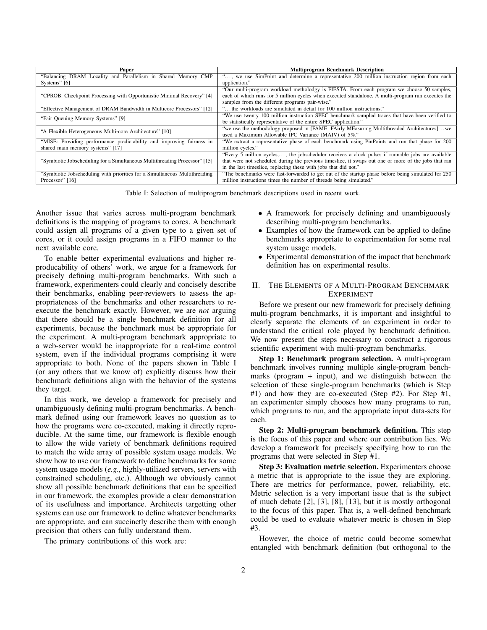| Paper                                                                      | <b>Multiprogram Benchmark Description</b>                                                            |  |  |
|----------------------------------------------------------------------------|------------------------------------------------------------------------------------------------------|--|--|
| "Balancing DRAM Locality and Parallelism in Shared Memory CMP              | ", we use SimPoint and determine a representative 200 million instruction region from each           |  |  |
| Systems" [6]                                                               | application."                                                                                        |  |  |
|                                                                            | "Our multi-program workload metholodgy is FIESTA. From each program we choose 50 samples,            |  |  |
| "CPROB: Checkpoint Processing with Opportunistic Minimal Recovery" [4]     | each of which runs for 5 million cycles when executed standalone. A multi-program run executes the   |  |  |
|                                                                            | samples from the different programs pair-wise."                                                      |  |  |
| "Effective Management of DRAM Bandwidth in Multicore Processors" [12]      | " the workloads are simulated in detail for 100 million instructions."                               |  |  |
| "Fair Queuing Memory Systems" [9]                                          | "We use twenty 100 million instruction SPEC benchmark sampled traces that have been verified to      |  |  |
|                                                                            | be statistically representative of the entire SPEC application."                                     |  |  |
| "A Flexible Heterogeneous Multi-core Architecture" [10]                    | "we use the methodology proposed in [FAME: FAirly MEasuring Multithreaded Architectures]we           |  |  |
|                                                                            | used a Maximum Allowable IPC Variance (MAIV) of 5%."                                                 |  |  |
| "MISE: Providing performance predictability and improving fairness in      | "We extract a representative phase of each benchmark using PinPoints and run that phase for 200      |  |  |
| shared main memory systems" [17]                                           | million cycles."                                                                                     |  |  |
|                                                                            | "Every 5 million cycles,, the jobscheduler receives a clock pulse; if runnable jobs are available    |  |  |
| "Symbiotic Jobscheduling for a Simultaneous Multithreading Processor" [15] | that were not scheduled during the previous timeslice, it swaps out one or more of the jobs that ran |  |  |
|                                                                            | in the last timeslice, replacing these with jobs that did not."                                      |  |  |
| "Symbiotic Jobscheduling with priorities for a Simultaneous Multithreading | "The benchmarks were fast-forwarded to get out of the startup phase before being simulated for 250   |  |  |
| Processor" [16]                                                            | million instructions times the number of threads being simulated."                                   |  |  |

Table I: Selection of multiprogram benchmark descriptions used in recent work.

Another issue that varies across multi-program benchmark definitions is the mapping of programs to cores. A benchmark could assign all programs of a given type to a given set of cores, or it could assign programs in a FIFO manner to the next available core.

To enable better experimental evaluations and higher reproducability of others' work, we argue for a framework for precisely defining multi-program benchmarks. With such a framework, experimenters could clearly and concisely describe their benchmarks, enabling peer-reviewers to assess the appropriateness of the benchmarks and other researchers to reexecute the benchmark exactly. However, we are *not* arguing that there should be a single benchmark definition for all experiments, because the benchmark must be appropriate for the experiment. A multi-program benchmark appropriate to a web-server would be inappropriate for a real-time control system, even if the individual programs comprising it were appropriate to both. None of the papers shown in Table I (or any others that we know of) explicitly discuss how their benchmark definitions align with the behavior of the systems they target.

In this work, we develop a framework for precisely and unambiguously defining multi-program benchmarks. A benchmark defined using our framework leaves no question as to how the programs were co-executed, making it directly reproducible. At the same time, our framework is flexible enough to allow the wide variety of benchmark definitions required to match the wide array of possible system usage models. We show how to use our framework to define benchmarks for some system usage models (*e.g.*, highly-utilized servers, servers with constrained scheduling, etc.). Although we obviously cannot show all possible benchmark definitions that can be specified in our framework, the examples provide a clear demonstration of its usefulness and importance. Architects targetting other systems can use our framework to define whatever benchmarks are appropriate, and can succinctly describe them with enough precision that others can fully understand them.

The primary contributions of this work are:

- A framework for precisely defining and unambiguously describing multi-program benchmarks.
- Examples of how the framework can be applied to define benchmarks appropriate to experimentation for some real system usage models.
- Experimental demonstration of the impact that benchmark definition has on experimental results.

# II. THE ELEMENTS OF A MULTI-PROGRAM BENCHMARK EXPERIMENT

Before we present our new framework for precisely defining multi-program benchmarks, it is important and insightful to clearly separate the elements of an experiment in order to understand the critical role played by benchmark definition. We now present the steps necessary to construct a rigorous scientific experiment with multi-program benchmarks.

Step 1: Benchmark program selection. A multi-program benchmark involves running multiple single-program benchmarks (program  $+$  input), and we distinguish between the selection of these single-program benchmarks (which is Step #1) and how they are co-executed (Step #2). For Step #1, an experimenter simply chooses how many programs to run, which programs to run, and the appropriate input data-sets for each.

Step 2: Multi-program benchmark definition. This step is the focus of this paper and where our contribution lies. We develop a framework for precisely specifying how to run the programs that were selected in Step #1.

Step 3: Evaluation metric selection. Experimenters choose a metric that is appropriate to the issue they are exploring. There are metrics for performance, power, reliability, etc. Metric selection is a very important issue that is the subject of much debate [2], [3], [8], [13], but it is mostly orthogonal to the focus of this paper. That is, a well-defined benchmark could be used to evaluate whatever metric is chosen in Step #3.

However, the choice of metric could become somewhat entangled with benchmark definition (but orthogonal to the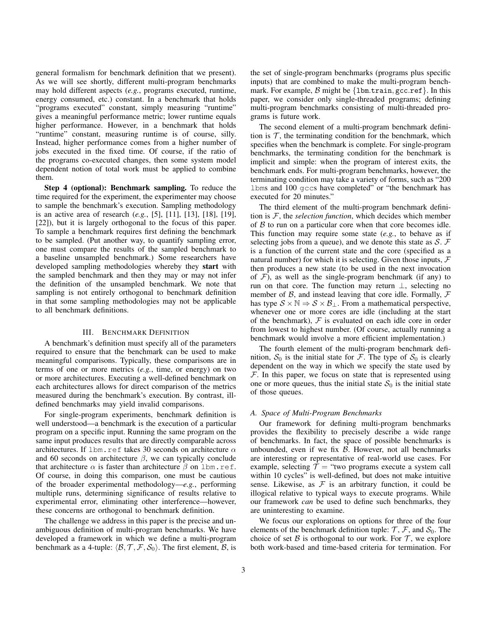general formalism for benchmark definition that we present). As we will see shortly, different multi-program benchmarks may hold different aspects (*e.g.*, programs executed, runtime, energy consumed, etc.) constant. In a benchmark that holds "programs executed" constant, simply measuring "runtime" gives a meaningful performance metric; lower runtime equals higher performance. However, in a benchmark that holds "runtime" constant, measuring runtime is of course, silly. Instead, higher performance comes from a higher number of jobs executed in the fixed time. Of course, if the ratio of the programs co-executed changes, then some system model dependent notion of total work must be applied to combine them.

Step 4 (optional): Benchmark sampling. To reduce the time required for the experiment, the experimenter may choose to sample the benchmark's execution. Sampling methodology is an active area of research (*e.g.*, [5], [11], [13], [18], [19], [22]), but it is largely orthogonal to the focus of this paper. To sample a benchmark requires first defining the benchmark to be sampled. (Put another way, to quantify sampling error, one must compare the results of the sampled benchmark to a baseline unsampled benchmark.) Some researchers have developed sampling methodologies whereby they start with the sampled benchmark and then they may or may not infer the definition of the unsampled benchmark. We note that sampling is not entirely orthogonal to benchmark definition in that some sampling methodologies may not be applicable to all benchmark definitions.

# III. BENCHMARK DEFINITION

A benchmark's definition must specify all of the parameters required to ensure that the benchmark can be used to make meaningful comparisons. Typically, these comparisons are in terms of one or more metrics (*e.g.*, time, or energy) on two or more architectures. Executing a well-defined benchmark on each architectures allows for direct comparison of the metrics measured during the benchmark's execution. By contrast, illdefined benchmarks may yield invalid comparisons.

For single-program experiments, benchmark definition is well understood—a benchmark is the execution of a particular program on a specific input. Running the same program on the same input produces results that are directly comparable across architectures. If  $l$ bm.ref takes 30 seconds on architecture  $\alpha$ and 60 seconds on architecture  $\beta$ , we can typically conclude that architecture  $\alpha$  is faster than architecture  $\beta$  on lbm.ref. Of course, in doing this comparison, one must be cautious of the broader experimental methodology—*e.g.*, performing multiple runs, determining significance of results relative to experimental error, eliminating other interference—however, these concerns are orthogonal to benchmark definition.

The challenge we address in this paper is the precise and unambiguous definition of multi-program benchmarks. We have developed a framework in which we define a multi-program benchmark as a 4-tuple:  $\langle \mathcal{B}, \mathcal{T}, \mathcal{F}, \mathcal{S}_0 \rangle$ . The first element,  $\mathcal{B}$ , is the set of single-program benchmarks (programs plus specific inputs) that are combined to make the multi-program benchmark. For example,  $\beta$  might be {1bm.train, gcc.ref}. In this paper, we consider only single-threaded programs; defining multi-program benchmarks consisting of multi-threaded programs is future work.

The second element of a multi-program benchmark definition is  $\mathcal{T}$ , the terminating condition for the benchmark, which specifies when the benchmark is complete. For single-program benchmarks, the terminating condition for the benchmark is implicit and simple: when the program of interest exits, the benchmark ends. For multi-program benchmarks, however, the terminating condition may take a variety of forms, such as "200 lbms and 100 gccs have completed" or "the benchmark has executed for 20 minutes."

The third element of the multi-program benchmark definition is F, the *selection function*, which decides which member of  $\beta$  to run on a particular core when that core becomes idle. This function may require some state (*e.g.*, to behave as if selecting jobs from a queue), and we denote this state as  $S$ .  $\mathcal F$ is a function of the current state and the core (specified as a natural number) for which it is selecting. Given those inputs,  $\mathcal F$ then produces a new state (to be used in the next invocation of  $\mathcal F$ ), as well as the single-program benchmark (if any) to run on that core. The function may return ⊥, selecting no member of  $\beta$ , and instead leaving that core idle. Formally,  $\mathcal F$ has type  $S \times \mathbb{N} \Rightarrow S \times \mathcal{B}_{\perp}$ . From a mathematical perspective, whenever one or more cores are idle (including at the start of the benchmark),  $\mathcal F$  is evaluated on each idle core in order from lowest to highest number. (Of course, actually running a benchmark would involve a more efficient implementation.)

The fourth element of the multi-program benchmark definition,  $S_0$  is the initial state for F. The type of  $S_0$  is clearly dependent on the way in which we specify the state used by  $F$ . In this paper, we focus on state that is represented using one or more queues, thus the initial state  $S_0$  is the initial state of those queues.

#### *A. Space of Multi-Program Benchmarks*

Our framework for defining multi-program benchmarks provides the flexibility to precisely describe a wide range of benchmarks. In fact, the space of possible benchmarks is unbounded, even if we fix  $\beta$ . However, not all benchmarks are interesting or representative of real-world use cases. For example, selecting  $\mathcal{T} =$  "two programs execute a system call within 10 cycles" is well-defined, but does not make intuitive sense. Likewise, as  $F$  is an arbitrary function, it could be illogical relative to typical ways to execute programs. While our framework *can* be used to define such benchmarks, they are uninteresting to examine.

We focus our explorations on options for three of the four elements of the benchmark definition tuple:  $\mathcal{T}, \mathcal{F}$ , and  $\mathcal{S}_0$ . The choice of set  $\beta$  is orthogonal to our work. For  $\mathcal T$ , we explore both work-based and time-based criteria for termination. For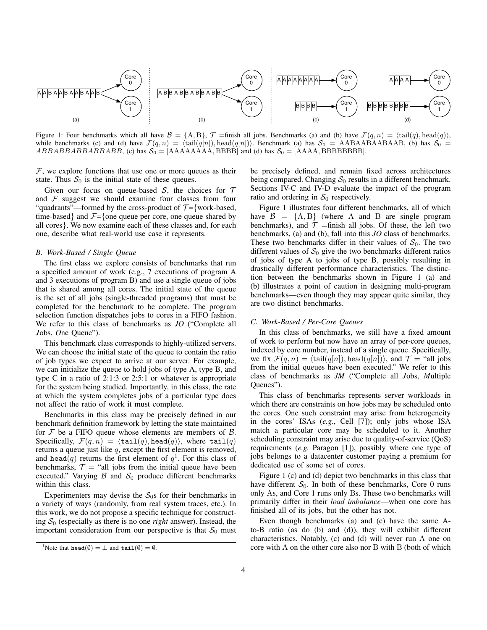

Figure 1: Four benchmarks which all have  $\mathcal{B} = \{A, B\}$ ,  $\mathcal{T}$  =finish all jobs. Benchmarks (a) and (b) have  $\mathcal{F}(q, n) = \langle \text{tail}(q), \text{head}(q) \rangle$ , while benchmarks (c) and (d) have  $\mathcal{F}(q, n) = \langle \text{tail}(q[n]) \rangle$ . Benchmark (a) has  $\mathcal{S}_0 =$  AABAABAABAAB, (b) has  $\mathcal{S}_0 =$  $ABBABBABBABB$ , (c) has  $S_0 = [AAAAAAA, BBBB]$  and (d) has  $S_0 = [AAA, BBBBBBBBB]$ .

 $F$ , we explore functions that use one or more queues as their state. Thus  $S_0$  is the initial state of these queues.

Given our focus on queue-based  $S$ , the choices for  $T$ and  $F$  suggest we should examine four classes from four "quadrants"—formed by the cross-product of  $\mathcal{T} = \{work-based,$ time-based} and  $\mathcal{F}$ ={one queue per core, one queue shared by all cores}. We now examine each of these classes and, for each one, describe what real-world use case it represents.

#### *B. Work-Based / Single Queue*

The first class we explore consists of benchmarks that run a specified amount of work (e.g., 7 executions of program A and 3 executions of program B) and use a single queue of jobs that is shared among all cores. The initial state of the queue is the set of all jobs (single-threaded programs) that must be completed for the benchmark to be complete. The program selection function dispatches jobs to cores in a FIFO fashion. We refer to this class of benchmarks as *JO* ("Complete all *J*obs, *O*ne Queue").

This benchmark class corresponds to highly-utilized servers. We can choose the initial state of the queue to contain the ratio of job types we expect to arrive at our server. For example, we can initialize the queue to hold jobs of type A, type B, and type C in a ratio of 2:1:3 or 2:5:1 or whatever is appropriate for the system being studied. Importantly, in this class, the rate at which the system completes jobs of a particular type does not affect the ratio of work it must complete.

Benchmarks in this class may be precisely defined in our benchmark definition framework by letting the state maintained for  $F$  be a FIFO queue whose elements are members of  $B$ . Specifically,  $\mathcal{F}(q, n) = \langle \texttt{tail}(q), \texttt{head}(q) \rangle$ , where  $\texttt{tail}(q)$ returns a queue just like  $q$ , except the first element is removed, and head $\bar{q}$  returns the first element of  $q<sup>1</sup>$ . For this class of benchmarks,  $\mathcal{T} =$  "all jobs from the initial queue have been executed." Varying  $\beta$  and  $S_0$  produce different benchmarks within this class.

Experimenters may devise the  $S<sub>0</sub>$ s for their benchmarks in a variety of ways (randomly, from real system traces, etc.). In this work, we do not propose a specific technique for constructing  $S_0$  (especially as there is no one *right* answer). Instead, the important consideration from our perspective is that  $S_0$  must be precisely defined, and remain fixed across architectures being compared. Changing  $S_0$  results in a different benchmark. Sections IV-C and IV-D evaluate the impact of the program ratio and ordering in  $S_0$  respectively.

Figure 1 illustrates four different benchmarks, all of which have  $\mathcal{B} = \{A, B\}$  (where A and B are single program benchmarks), and  $\mathcal{T}$  =finish all jobs. Of these, the left two benchmarks, (a) and (b), fall into this *JO* class of benchmarks. These two benchmarks differ in their values of  $S_0$ . The two different values of  $S_0$  give the two benchmarks different ratios of jobs of type A to jobs of type B, possibly resulting in drastically different performance characteristics. The distinction between the benchmarks shown in Figure 1 (a) and (b) illustrates a point of caution in designing multi-program benchmarks—even though they may appear quite similar, they are two distinct benchmarks.

#### *C. Work-Based / Per-Core Queues*

In this class of benchmarks, we still have a fixed amount of work to perform but now have an array of per-core queues, indexed by core number, instead of a single queue. Specifically, we fix  $\mathcal{F}(q, n) = \langle \text{tail}(q[n]), \text{head}(q[n]) \rangle$ , and  $\mathcal{T} =$  "all jobs from the initial queues have been executed." We refer to this class of benchmarks as *JM* ("Complete all *J*obs, *M*ultiple Queues").

This class of benchmarks represents server workloads in which there are constraints on how jobs may be scheduled onto the cores. One such constraint may arise from heterogeneity in the cores' ISAs (*e.g.*, Cell [7]); only jobs whose ISA match a particular core may be scheduled to it. Another scheduling constraint may arise due to quality-of-service (QoS) requirements (*e.g.* Paragon [1]), possibly where one type of jobs belongs to a datacenter customer paying a premium for dedicated use of some set of cores.

Figure 1 (c) and (d) depict two benchmarks in this class that have different  $S_0$ . In both of these benchmarks, Core 0 runs only As, and Core 1 runs only Bs. These two benchmarks will primarily differ in their *load imbalance*—when one core has finished all of its jobs, but the other has not.

Even though benchmarks (a) and (c) have the same Ato-B ratio (as do (b) and (d)), they will exhibit different characteristics. Notably, (c) and (d) will never run A one on core with A on the other core also nor B with B (both of which

<sup>&</sup>lt;sup>1</sup>Note that head( $\emptyset$ ) =  $\perp$  and tail( $\emptyset$ ) =  $\emptyset$ .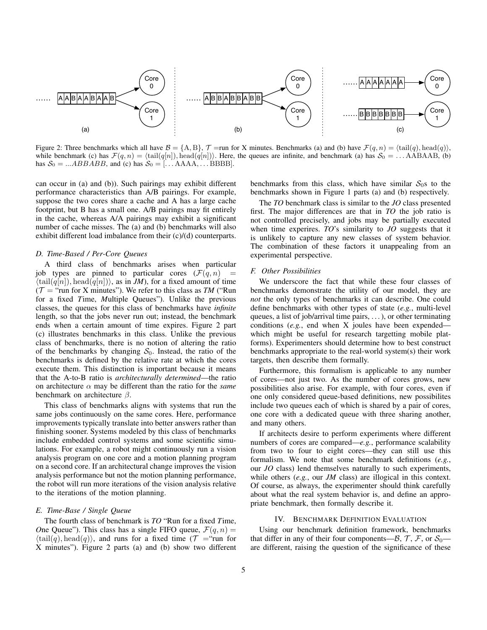

Figure 2: Three benchmarks which all have  $\mathcal{B} = \{A, B\}$ ,  $\mathcal{T}$  =run for X minutes. Benchmarks (a) and (b) have  $\mathcal{F}(q, n) = \langle \text{tail}(q), \text{head}(q) \rangle$ , while benchmark (c) has  $\mathcal{F}(q, n) = \langle \text{tail}(q[n]) \rangle$ , head $(q[n]) \rangle$ . Here, the queues are infinite, and benchmark (a) has  $\mathcal{S}_0 = \dots$  AABAAB, (b) has  $S_0 = ...ABBABB$ , and (c) has  $S_0 =$  [... AAAA,... BBBB].

can occur in (a) and (b)). Such pairings may exhibit different performance characteristics than A/B pairings. For example, suppose the two cores share a cache and A has a large cache footprint, but B has a small one. A/B pairings may fit entirely in the cache, whereas A/A pairings may exhibit a significant number of cache misses. The (a) and (b) benchmarks will also exhibit different load imbalance from their (c)/(d) counterparts.

# *D. Time-Based / Per-Core Queues*

A third class of benchmarks arises when particular job types are pinned to particular cores  $(F(q, n))$  $\langle \text{tail}(q[n]), \text{head}(q[n]) \rangle$ , as in *JM*), for a fixed amount of time  $(\mathcal{T} =$  "run for X minutes"). We refer to this class as *TM* ("Run for a fixed *T*ime, *M*ultiple Queues"). Unlike the previous classes, the queues for this class of benchmarks have *infinite* length, so that the jobs never run out; instead, the benchmark ends when a certain amount of time expires. Figure 2 part (c) illustrates benchmarks in this class. Unlike the previous class of benchmarks, there is no notion of altering the ratio of the benchmarks by changing  $S_0$ . Instead, the ratio of the benchmarks is defined by the relative rate at which the cores execute them. This distinction is important because it means that the A-to-B ratio is *architecturally determined*—the ratio on architecture  $\alpha$  may be different than the ratio for the *same* benchmark on architecture  $\beta$ .

This class of benchmarks aligns with systems that run the same jobs continuously on the same cores. Here, performance improvements typically translate into better answers rather than finishing sooner. Systems modeled by this class of benchmarks include embedded control systems and some scientific simulations. For example, a robot might continuously run a vision analysis program on one core and a motion planning program on a second core. If an architectural change improves the vision analysis performance but not the motion planning performance, the robot will run more iterations of the vision analysis relative to the iterations of the motion planning.

# *E. Time-Base / Single Queue*

The fourth class of benchmark is *TO* "Run for a fixed *T*ime, *One Queue"*). This class has a single FIFO queue,  $\mathcal{F}(q, n) =$  $\langle \text{tail}(q), \text{head}(q) \rangle$ , and runs for a fixed time ( $\mathcal{T}$  = "run for X minutes"). Figure 2 parts (a) and (b) show two different benchmarks from this class, which have similar  $S_0$ s to the benchmarks shown in Figure 1 parts (a) and (b) respectively.

The *TO* benchmark class is similar to the *JO* class presented first. The major differences are that in *TO* the job ratio is not controlled precisely, and jobs may be partially executed when time experires. *TO*'s similarity to *JO* suggests that it is unlikely to capture any new classes of system behavior. The combination of these factors it unappealing from an experimental perspective.

# *F. Other Possibilities*

We underscore the fact that while these four classes of benchmarks demonstrate the utility of our model, they are *not* the only types of benchmarks it can describe. One could define benchmarks with other types of state (*e.g.*, multi-level queues, a list of job/arrival time pairs, . . . ), or other terminating conditions (*e.g.*, end when X joules have been expended which might be useful for research targetting mobile platforms). Experimenters should determine how to best construct benchmarks appropriate to the real-world system(s) their work targets, then describe them formally.

Furthermore, this formalism is applicable to any number of cores—not just two. As the number of cores grows, new possibilities also arise. For example, with four cores, even if one only considered queue-based definitions, new possibilites include two queues each of which is shared by a pair of cores, one core with a dedicated queue with three sharing another, and many others.

If architects desire to perform experiments where different numbers of cores are compared—*e.g.*, performance scalability from two to four to eight cores—they can still use this formalism. We note that some benchmark definitions (*e.g.*, our *JO* class) lend themselves naturally to such experiments, while others (*e.g.*, our *JM* class) are illogical in this context. Of course, as always, the experimenter should think carefully about what the real system behavior is, and define an appropriate benchmark, then formally describe it.

# IV. BENCHMARK DEFINITION EVALUATION

Using our benchmark definition framework, benchmarks that differ in any of their four components— $\beta$ ,  $\mathcal{T}$ ,  $\mathcal{F}$ , or  $\mathcal{S}_0$  are different, raising the question of the significance of these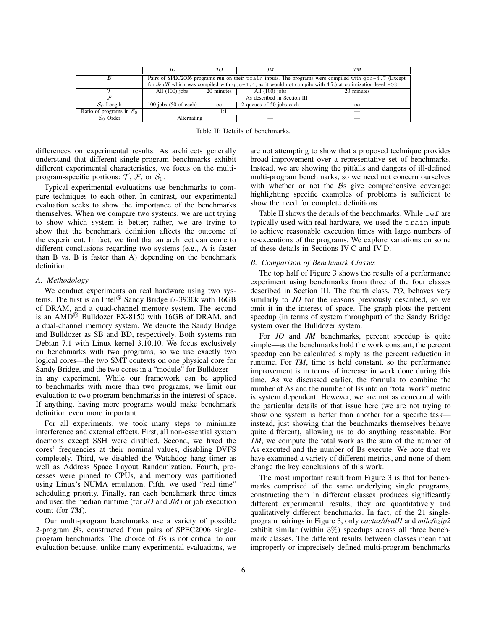|                            | JO                                                                                                                                                                                                                                | TО         | JM                       | TМ         |  |  |
|----------------------------|-----------------------------------------------------------------------------------------------------------------------------------------------------------------------------------------------------------------------------------|------------|--------------------------|------------|--|--|
|                            | Pairs of SPEC2006 programs run on their train inputs. The programs were compiled with $qcc-4$ . 7 (Except<br>for <i>deallI</i> which was compiled with $qcc-4$ . 4, as it would not compile with 4.7.) at optimization level -03. |            |                          |            |  |  |
|                            | All $(100)$ jobs                                                                                                                                                                                                                  | 20 minutes | All $(100)$ jobs         | 20 minutes |  |  |
|                            | As described in Section III                                                                                                                                                                                                       |            |                          |            |  |  |
| $S_0$ Length               | $100$ jobs $(50$ of each)                                                                                                                                                                                                         | $\infty$   | 2 queues of 50 jobs each | $\infty$   |  |  |
| Ratio of programs in $S_0$ |                                                                                                                                                                                                                                   |            |                          |            |  |  |
| $S_0$ Order                | Alternating                                                                                                                                                                                                                       |            |                          |            |  |  |

Table II: Details of benchmarks.

differences on experimental results. As architects generally understand that different single-program benchmarks exhibit different experimental characteristics, we focus on the multiprogram-specific portions:  $\mathcal{T}, \mathcal{F}$ , or  $\mathcal{S}_0$ .

Typical experimental evaluations use benchmarks to compare techniques to each other. In contrast, our experimental evaluation seeks to show the importance of the benchmarks themselves. When we compare two systems, we are not trying to show which system is better; rather, we are trying to show that the benchmark definition affects the outcome of the experiment. In fact, we find that an architect can come to different conclusions regarding two systems (e.g., A is faster than B vs. B is faster than A) depending on the benchmark definition.

#### *A. Methodology*

We conduct experiments on real hardware using two systems. The first is an Intel<sup>®</sup> Sandy Bridge i7-3930k with 16GB of DRAM, and a quad-channel memory system. The second is an  $\text{AMD}^{\textcircled{p}}$  Bulldozer FX-8150 with 16GB of DRAM, and a dual-channel memory system. We denote the Sandy Bridge and Bulldozer as SB and BD, respectively. Both systems run Debian 7.1 with Linux kernel 3.10.10. We focus exclusively on benchmarks with two programs, so we use exactly two logical cores—the two SMT contexts on one physical core for Sandy Bridge, and the two cores in a "module" for Bulldozer in any experiment. While our framework can be applied to benchmarks with more than two programs, we limit our evaluation to two program benchmarks in the interest of space. If anything, having more programs would make benchmark definition even more important.

For all experiments, we took many steps to minimize interference and external effects. First, all non-essential system daemons except SSH were disabled. Second, we fixed the cores' frequencies at their nominal values, disabling DVFS completely. Third, we disabled the Watchdog hang timer as well as Address Space Layout Randomization. Fourth, processes were pinned to CPUs, and memory was partitioned using Linux's NUMA emulation. Fifth, we used "real time" scheduling priority. Finally, ran each benchmark three times and used the median runtime (for *JO* and *JM*) or job execution count (for *TM*).

Our multi-program benchmarks use a variety of possible 2-program Bs, constructed from pairs of SPEC2006 singleprogram benchmarks. The choice of Bs is not critical to our evaluation because, unlike many experimental evaluations, we are not attempting to show that a proposed technique provides broad improvement over a representative set of benchmarks. Instead, we are showing the pitfalls and dangers of ill-defined multi-program benchmarks, so we need not concern ourselves with whether or not the  $\beta$ s give comprehensive coverage; highlighting specific examples of problems is sufficient to show the need for complete definitions.

Table II shows the details of the benchmarks. While ref are typically used with real hardware, we used the train inputs to achieve reasonable execution times with large numbers of re-executions of the programs. We explore variations on some of these details in Sections IV-C and IV-D.

# *B. Comparison of Benchmark Classes*

The top half of Figure 3 shows the results of a performance experiment using benchmarks from three of the four classes described in Section III. The fourth class, *TO*, behaves very similarly to *JO* for the reasons previously described, so we omit it in the interest of space. The graph plots the percent speedup (in terms of system throughput) of the Sandy Bridge system over the Bulldozer system.

For *JO* and *JM* benchmarks, percent speedup is quite simple—as the benchmarks hold the work constant, the percent speedup can be calculated simply as the percent reduction in runtime. For *TM*, time is held constant, so the performance improvement is in terms of increase in work done during this time. As we discussed earlier, the formula to combine the number of As and the number of Bs into on "total work" metric is system dependent. However, we are not as concerned with the particular details of that issue here (we are not trying to show one system is better than another for a specific task instead, just showing that the benchmarks themselves behave quite different), allowing us to do anything reasonable. For *TM*, we compute the total work as the sum of the number of As executed and the number of Bs execute. We note that we have examined a variety of different metrics, and none of them change the key conclusions of this work.

The most important result from Figure 3 is that for benchmarks comprised of the same underlying single programs, constructing them in different classes produces significantly different experimental results; they are quantitatively and qualitatively different benchmarks. In fact, of the 21 singleprogram pairings in Figure 3, only *cactus/dealII* and *milc/bzip2* exhibit similar (within 3%) speedups across all three benchmark classes. The different results between classes mean that improperly or imprecisely defined multi-program benchmarks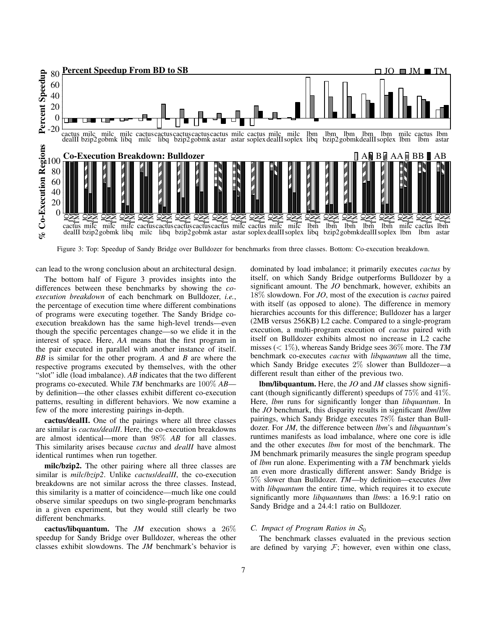

Figure 3: Top: Speedup of Sandy Bridge over Bulldozer for benchmarks from three classes. Bottom: Co-execution breakdown.

can lead to the wrong conclusion about an architectural design.

The bottom half of Figure 3 provides insights into the differences between these benchmarks by showing the *coexecution breakdown* of each benchmark on Bulldozer, *i.e.*, the percentage of execution time where different combinations of programs were executing together. The Sandy Bridge coexecution breakdown has the same high-level trends—even though the specific percentages change—so we elide it in the interest of space. Here, *AA* means that the first program in the pair executed in parallel with another instance of itself. *BB* is similar for the other program. *A* and *B* are where the respective programs executed by themselves, with the other "slot" idle (load imbalance). *AB* indicates that the two different programs co-executed. While *TM* benchmarks are 100% *AB* by definition—the other classes exhibit different co-execution patterns, resulting in different behaviors. We now examine a few of the more interesting pairings in-depth.

cactus/dealII. One of the pairings where all three classes are similar is *cactus/dealII*. Here, the co-execution breakdowns are almost identical—more than 98% *AB* for all classes. This similarity arises because *cactus* and *dealII* have almost identical runtimes when run together.

milc/bzip2. The other pairing where all three classes are similar is *milc*/*bzip2*. Unlike *cactus*/*dealII*, the co-execution breakdowns are not similar across the three classes. Instead, this similarity is a matter of coincidence—much like one could observe similar speedups on two single-program benchmarks in a given experiment, but they would still clearly be two different benchmarks.

cactus/libquantum. The *JM* execution shows a 26% speedup for Sandy Bridge over Bulldozer, whereas the other classes exhibit slowdowns. The *JM* benchmark's behavior is dominated by load imbalance; it primarily executes *cactus* by itself, on which Sandy Bridge outperforms Bulldozer by a significant amount. The *JO* benchmark, however, exhibits an 18% slowdown. For *JO*, most of the execution is *cactus* paired with itself (as opposed to alone). The difference in memory hierarchies accounts for this difference; Bulldozer has a larger (2MB versus 256KB) L2 cache. Compared to a single-program execution, a multi-program execution of *cactus* paired with itself on Bulldozer exhibits almost no increase in L2 cache misses (< 1%), whereas Sandy Bridge sees 36% more. The *TM* benchmark co-executes *cactus* with *libquantum* all the time, which Sandy Bridge executes 2% slower than Bulldozer—a different result than either of the previous two.

lbm/libquantum. Here, the *JO* and *JM* classes show significant (though significantly different) speedups of 75% and 41%. Here, *lbm* runs for significantly longer than *libquantum*. In the *JO* benchmark, this disparity results in significant *lbm*/*lbm* pairings, which Sandy Bridge executes 78% faster than Bulldozer. For *JM*, the difference between *lbm*'s and *libquantum*'s runtimes manifests as load imbalance, where one core is idle and the other executes *lbm* for most of the benchmark. The JM benchmark primarily measures the single program speedup of *lbm* run alone. Experimenting with a *TM* benchmark yields an even more drastically different answer: Sandy Bridge is 5% slower than Bulldozer. *TM*—by definition—executes *lbm* with *libquantum* the entire time, which requires it to execute significantly more *libquantum*s than *lbm*s: a 16.9:1 ratio on Sandy Bridge and a 24.4:1 ratio on Bulldozer.

# *C. Impact of Program Ratios in*  $S_0$

The benchmark classes evaluated in the previous section are defined by varying  $F$ ; however, even within one class,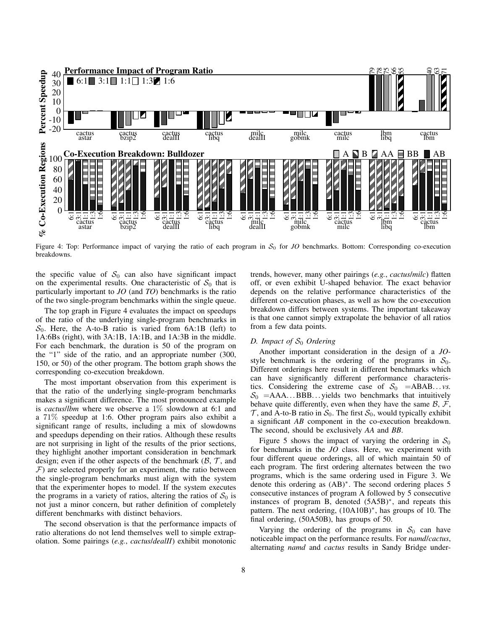

Figure 4: Top: Performance impact of varying the ratio of each program in  $S_0$  for *JO* benchmarks. Bottom: Corresponding co-execution breakdowns.

the specific value of  $S_0$  can also have significant impact on the experimental results. One characteristic of  $S_0$  that is particularly important to *JO* (and *TO*) benchmarks is the ratio of the two single-program benchmarks within the single queue.

The top graph in Figure 4 evaluates the impact on speedups of the ratio of the underlying single-program benchmarks in  $S_0$ . Here, the A-to-B ratio is varied from 6A:1B (left) to 1A:6Bs (right), with 3A:1B, 1A:1B, and 1A:3B in the middle. For each benchmark, the duration is 50 of the program on the "1" side of the ratio, and an appropriate number (300, 150, or 50) of the other program. The bottom graph shows the corresponding co-execution breakdown.

The most important observation from this experiment is that the ratio of the underlying single-program benchmarks makes a significant difference. The most pronounced example is *cactus*/*lbm* where we observe a 1% slowdown at 6:1 and a 71% speedup at 1:6. Other program pairs also exhibit a significant range of results, including a mix of slowdowns and speedups depending on their ratios. Although these results are not surprising in light of the results of the prior sections, they highlight another important consideration in benchmark design; even if the other aspects of the benchmark  $(\mathcal{B}, \mathcal{T}, \mathcal{A})$  $F$ ) are selected properly for an experiment, the ratio between the single-program benchmarks must align with the system that the experimenter hopes to model. If the system executes the programs in a variety of ratios, altering the ratios of  $S_0$  is not just a minor concern, but rather definition of completely different benchmarks with distinct behaviors.

The second observation is that the performance impacts of ratio alterations do not lend themselves well to simple extrapolation. Some pairings (*e.g.*, *cactus*/*dealII*) exhibit monotonic trends, however, many other pairings (*e.g.*, *cactus*/*milc*) flatten off, or even exhibit U-shaped behavior. The exact behavior depends on the relative performance characteristics of the different co-execution phases, as well as how the co-execution breakdown differs between systems. The important takeaway is that one cannot simply extrapolate the behavior of all ratios from a few data points.

# *D. Impact of*  $S_0$  *Ordering*

Another important consideration in the design of a *JO*style benchmark is the ordering of the programs in  $S_0$ . Different orderings here result in different benchmarks which can have significantly different performance characteristics. Considering the extreme case of  $S_0$  =ABAB...*vs*.  $S_0 = AAA \dots BBB \dots$  yields two benchmarks that intuitively behave quite differently, even when they have the same  $\mathcal{B}, \mathcal{F},$  $\mathcal{T}$ , and A-to-B ratio in  $\mathcal{S}_0$ . The first  $\mathcal{S}_0$ , would typically exhibit a significant *AB* component in the co-execution breakdown. The second, should be exclusively *AA* and *BB*.

Figure 5 shows the impact of varying the ordering in  $S_0$ for benchmarks in the *JO* class. Here, we experiment with four different queue orderings, all of which maintain 50 of each program. The first ordering alternates between the two programs, which is the same ordering used in Figure 3. We denote this ordering as (AB)<sup>∗</sup> . The second ordering places 5 consecutive instances of program A followed by 5 consecutive instances of program B, denoted (5A5B)<sup>∗</sup> , and repeats this pattern. The next ordering, (10A10B)<sup>∗</sup> , has groups of 10. The final ordering, (50A50B), has groups of 50.

Varying the ordering of the programs in  $S_0$  can have noticeable impact on the performance results. For *namd*/*cactus*, alternating *namd* and *cactus* results in Sandy Bridge under-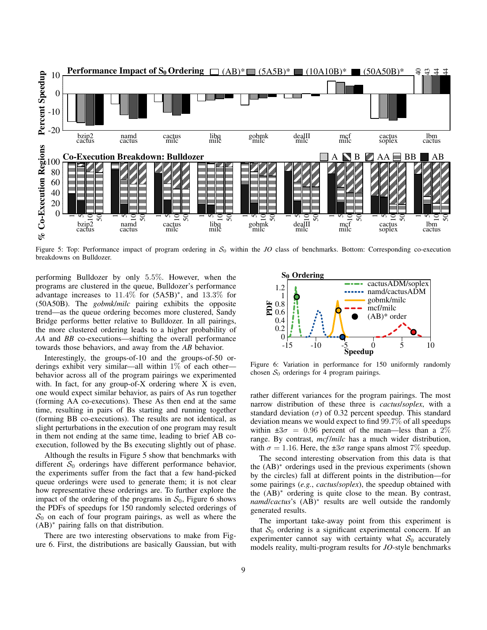

Figure 5: Top: Performance impact of program ordering in  $S_0$  within the *JO* class of benchmarks. Bottom: Corresponding co-execution breakdowns on Bulldozer.

performing Bulldozer by only 5.5%. However, when the programs are clustered in the queue, Bulldozer's performance advantage increases to  $11.4\%$  for  $(5A5B)^*$ , and  $13.3\%$  for (50A50B). The *gobmk*/*milc* pairing exhibits the opposite trend—as the queue ordering becomes more clustered, Sandy Bridge performs better relative to Bulldozer. In all pairings, the more clustered ordering leads to a higher probability of *AA* and *BB* co-executions—shifting the overall performance towards those behaviors, and away from the *AB* behavior.

Interestingly, the groups-of-10 and the groups-of-50 orderings exhibit very similar—all within 1% of each other behavior across all of the program pairings we experimented with. In fact, for any group-of-X ordering where X is even, one would expect similar behavior, as pairs of As run together (forming AA co-executions). These As then end at the same time, resulting in pairs of Bs starting and running together (forming BB co-executions). The results are not identical, as slight perturbations in the execution of one program may result in them not ending at the same time, leading to brief AB coexecution, followed by the Bs executing slightly out of phase.

Although the results in Figure 5 show that benchmarks with different  $S_0$  orderings have different performance behavior, the experiments suffer from the fact that a few hand-picked queue orderings were used to generate them; it is not clear how representative these orderings are. To further explore the impact of the ordering of the programs in  $S_0$ , Figure 6 shows the PDFs of speedups for 150 randomly selected orderings of  $S_0$  on each of four program pairings, as well as where the (AB)<sup>∗</sup> pairing falls on that distribution.

There are two interesting observations to make from Figure 6. First, the distributions are basically Gaussian, but with



Figure 6: Variation in performance for 150 uniformly randomly chosen  $S_0$  orderings for 4 program pairings.

rather different variances for the program pairings. The most narrow distribution of these three is *cactus*/*soplex*, with a standard deviation ( $\sigma$ ) of 0.32 percent speedup. This standard deviation means we would expect to find 99.7% of all speedups within  $\pm 3\sigma = 0.96$  percent of the mean—less than a 2% range. By contrast, *mcf/milc* has a much wider distribution, with  $\sigma = 1.16$ . Here, the  $\pm 3\sigma$  range spans almost 7% speedup.

The second interesting observation from this data is that the (AB)<sup>∗</sup> orderings used in the previous experiments (shown by the circles) fall at different points in the distribution—for some pairings (*e.g.*, *cactus*/*soplex*), the speedup obtained with the (AB)<sup>∗</sup> ordering is quite close to the mean. By contrast, namd/*cactus*'s (AB)<sup>\*</sup> results are well outside the randomly generated results.

The important take-away point from this experiment is that  $S_0$  ordering is a significant experimental concern. If an experimenter cannot say with certainty what  $S_0$  accurately models reality, multi-program results for *JO*-style benchmarks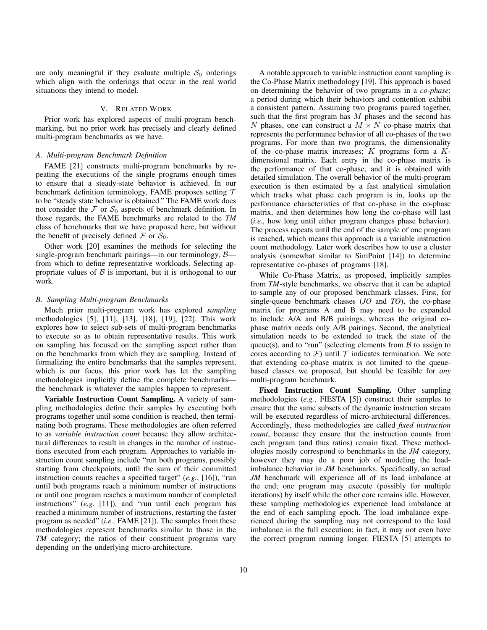are only meaningful if they evaluate multiple  $S_0$  orderings which align with the orderings that occur in the real world situations they intend to model.

# V. RELATED WORK

Prior work has explored aspects of multi-program benchmarking, but no prior work has precisely and clearly defined multi-program benchmarks as we have.

### *A. Multi-program Benchmark Definition*

FAME [21] constructs multi-program benchmarks by repeating the executions of the single programs enough times to ensure that a steady-state behavior is achieved. In our benchmark definition terminology, FAME proposes setting  $\mathcal T$ to be "steady state behavior is obtained." The FAME work does not consider the  $\mathcal F$  or  $\mathcal S_0$  aspects of benchmark definition. In those regards, the FAME benchmarks are related to the *TM* class of benchmarks that we have proposed here, but without the benefit of precisely defined  $\mathcal F$  or  $\mathcal S_0$ .

Other work [20] examines the methods for selecting the single-program benchmark pairings—in our terminology,  $\beta$  from which to define representative workloads. Selecting appropriate values of  $\beta$  is important, but it is orthogonal to our work.

#### *B. Sampling Multi-program Benchmarks*

Much prior multi-program work has explored *sampling* methodologies [5], [11], [13], [18], [19], [22]. This work explores how to select sub-sets of multi-program benchmarks to execute so as to obtain representative results. This work on sampling has focused on the sampling aspect rather than on the benchmarks from which they are sampling. Instead of formalizing the entire benchmarks that the samples represent, which is our focus, this prior work has let the sampling methodologies implicitly define the complete benchmarks the benchmark is whatever the samples happen to represent.

Variable Instruction Count Sampling. A variety of sampling methodologies define their samples by executing both programs together until some condition is reached, then terminating both programs. These methodologies are often referred to as *variable instruction count* because they allow architectural differences to result in changes in the number of instructions executed from each program. Approaches to variable instruction count sampling include "run both programs, possibly starting from checkpoints, until the sum of their committed instruction counts reaches a specified target" (*e.g.*, [16]), "run until both programs reach a minimum number of instructions or until one program reaches a maximum number of completed instructions" (*e.g.* [11]), and "run until each program has reached a minimum number of instructions, restarting the faster program as needed" (*i.e.,* FAME [21]). The samples from these methodologies represent benchmarks similar to those in the *TM* category; the ratios of their constituent programs vary depending on the underlying micro-architecture.

A notable approach to variable instruction count sampling is the Co-Phase Matrix methodology [19]. This approach is based on determining the behavior of two programs in a *co-phase*: a period during which their behaviors and contention exhibit a consistent pattern. Assuming two programs paired together, such that the first program has  $M$  phases and the second has N phases, one can construct a  $M \times N$  co-phase matrix that represents the performance behavior of all co-phases of the two programs. For more than two programs, the dimensionality of the co-phase matrix increases;  $K$  programs form a  $K$ dimensional matrix. Each entry in the co-phase matrix is the performance of that co-phase, and it is obtained with detailed simulation. The overall behavior of the multi-program execution is then estimated by a fast analytical simulation which tracks what phase each program is in, looks up the performance characteristics of that co-phase in the co-phase matrix, and then determines how long the co-phase will last (*i.e.*, how long until either program changes phase behavior). The process repeats until the end of the sample of one program is reached, which means this approach is a variable instruction count methodology. Later work describes how to use a cluster analysis (somewhat similar to SimPoint [14]) to determine representative co-phases of programs [18].

While Co-Phase Matrix, as proposed, implicitly samples from *TM*-style benchmarks, we observe that it can be adapted to sample any of our proposed benchmark classes. First, for single-queue benchmark classes (*JO* and *TO*), the co-phase matrix for programs A and B may need to be expanded to include A/A and B/B pairings, whereas the original cophase matrix needs only A/B pairings. Second, the analytical simulation needs to be extended to track the state of the queue(s), and to "run" (selecting elements from  $B$  to assign to cores according to  $\mathcal{F}$ ) until  $\mathcal{T}$  indicates termination. We note that extending co-phase matrix is not limited to the queuebased classes we proposed, but should be feasible for *any* multi-program benchmark.

Fixed Instruction Count Sampling. Other sampling methodologies (*e.g.*, FIESTA [5]) construct their samples to ensure that the same subsets of the dynamic instruction stream will be executed regardless of micro-architectural differences. Accordingly, these methodologies are called *fixed instruction count*, because they ensure that the instruction counts from each program (and thus ratios) remain fixed. These methodologies mostly correspond to benchmarks in the *JM* category, however they may do a poor job of modeling the loadimbalance behavior in *JM* benchmarks. Specifically, an actual *JM* benchmark will experience all of its load imbalance at the end; one program may execute (possibly for multiple iterations) by itself while the other core remains idle. However, these sampling methodologies experience load imbalance at the end of each sampling epoch. The load imbalance experienced during the sampling may not correspond to the load imbalance in the full execution; in fact, it may not even have the correct program running longer. FIESTA [5] attempts to